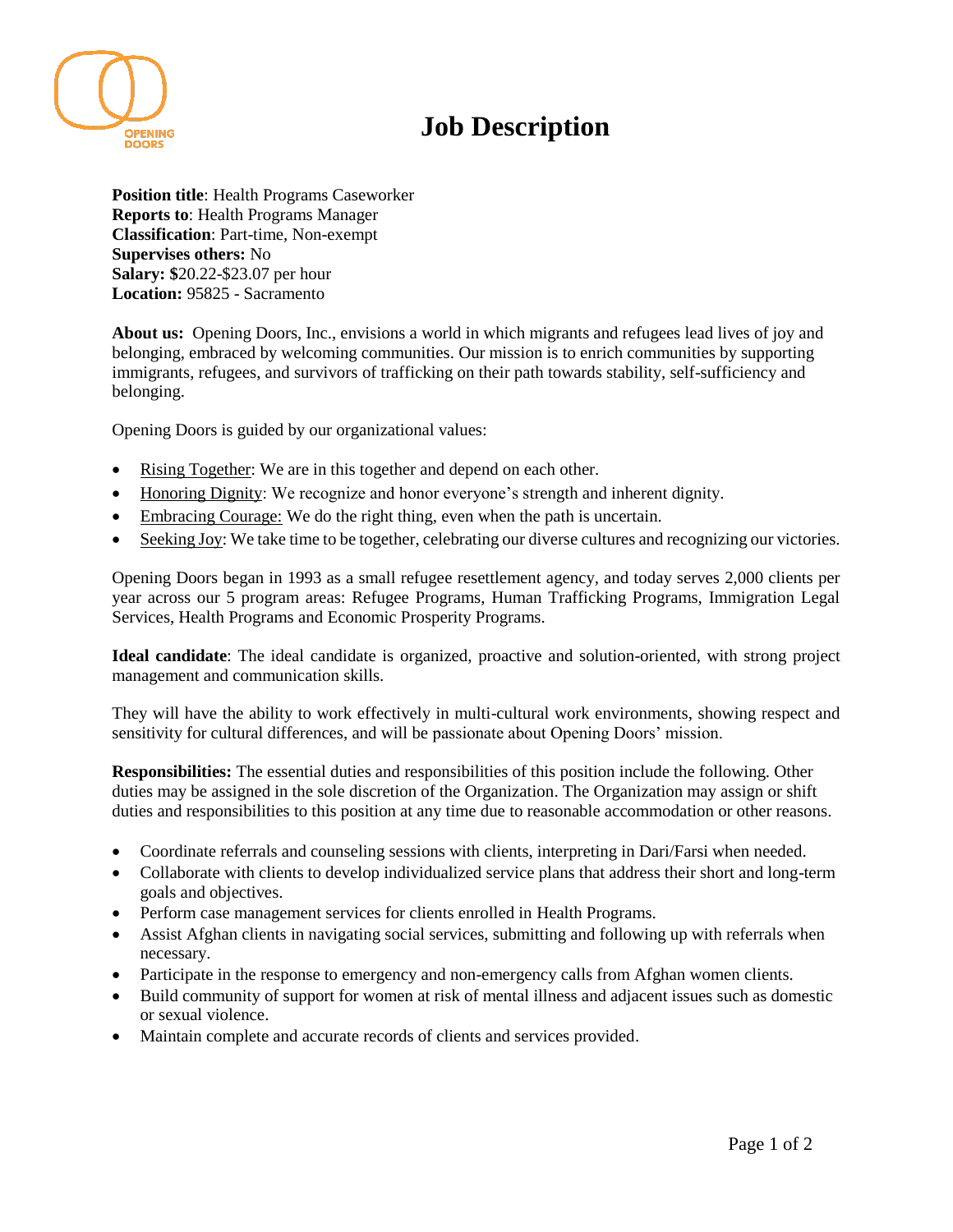

## **Job Description**

**Position title**: Health Programs Caseworker **Reports to**: Health Programs Manager **Classification**: Part-time, Non-exempt **Supervises others:** No **Salary: \$**20.22-\$23.07 per hour **Location:** 95825 - Sacramento

**About us:** Opening Doors, Inc., envisions a world in which migrants and refugees lead lives of joy and belonging, embraced by welcoming communities. Our mission is to enrich communities by supporting immigrants, refugees, and survivors of trafficking on their path towards stability, self-sufficiency and belonging.

Opening Doors is guided by our organizational values:

- Rising Together: We are in this together and depend on each other.
- Honoring Dignity: We recognize and honor everyone's strength and inherent dignity.
- Embracing Courage: We do the right thing, even when the path is uncertain.
- Seeking Joy: We take time to be together, celebrating our diverse cultures and recognizing our victories.

Opening Doors began in 1993 as a small refugee resettlement agency, and today serves 2,000 clients per year across our 5 program areas: Refugee Programs, Human Trafficking Programs, Immigration Legal Services, Health Programs and Economic Prosperity Programs.

**Ideal candidate**: The ideal candidate is organized, proactive and solution-oriented, with strong project management and communication skills.

They will have the ability to work effectively in multi-cultural work environments, showing respect and sensitivity for cultural differences, and will be passionate about Opening Doors' mission.

**Responsibilities:** The essential duties and responsibilities of this position include the following. Other duties may be assigned in the sole discretion of the Organization. The Organization may assign or shift duties and responsibilities to this position at any time due to reasonable accommodation or other reasons.

- Coordinate referrals and counseling sessions with clients, interpreting in Dari/Farsi when needed.
- Collaborate with clients to develop individualized service plans that address their short and long-term goals and objectives.
- Perform case management services for clients enrolled in Health Programs.
- Assist Afghan clients in navigating social services, submitting and following up with referrals when necessary.
- Participate in the response to emergency and non-emergency calls from Afghan women clients.
- Build community of support for women at risk of mental illness and adjacent issues such as domestic or sexual violence.
- Maintain complete and accurate records of clients and services provided.